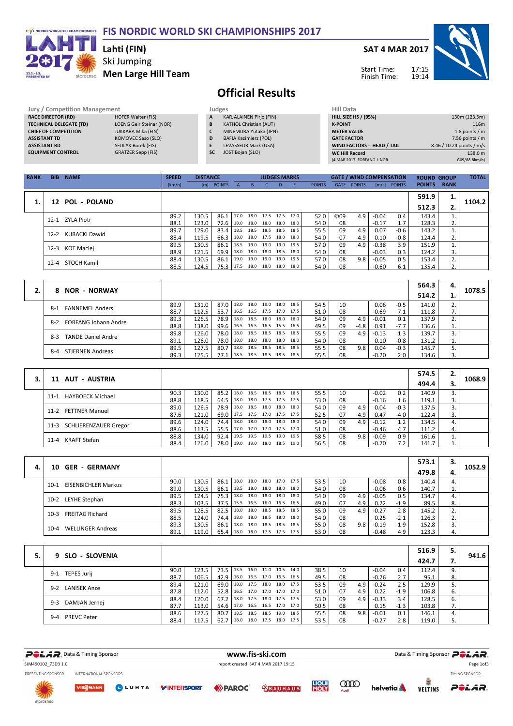#### F/S NORDIC WORLD SKI CHAMPIONSHIPS FIS NORDIC WORLD SKI CHAMPIONSHIPS 2017



### Ski Jumping Men Large Hill Team Lahti (FIN)



# Official Results

Jury / Competition Management<br> **RACE DIRECTOR (RD)** HOFER Walter (FIS) **A** KA<br> **TECHNICAL DELEGATE (TD)** LOENG Geir Steinar (NOR) **B** KA RACE DIRECTOR (RD)<br>TECHNICAL DELEGATE (TD) TECHNICAL<br>TECHNICAL DELEGATION<br>TECHNICAL DELEGATION DELEGATION **CHIEF OF COMPETITION**<br>ASSISTANT TD ASSISTANT TD KOMOVEC Saso (SLO)<br>ASSISTANT RD SEDLAK Borek (FIS) ASSIME REFUSED<br>SEDLAK Borek (FIS)<br>GRATZER Sepp (FIS) **EQUIPMENT CONTROL** A KARJALAINEN Pirjo (FIN) **B** KATHOL Christian (AUT)<br>**C** MINEMURA Yutaka (JPN **C** MINEMURA Yutaka (JPN)<br>**D** BAFIA Kazimierz (POL) D BAFIA Kazimierz (POL)<br>E LEVASSEUR Mark (USA EN ANNEHMENT (F. 22) SC JOST Bojan (SLO)

| Hill Data                   |                           |
|-----------------------------|---------------------------|
| <b>HILL SIZE HS / (95%)</b> | 130m (123.5m)             |
| <b>K-POINT</b>              | 116m                      |
| <b>METER VALUE</b>          | 1.8 points $/m$           |
| <b>GATE FACTOR</b>          | $7.56$ points / m         |
| WIND FACTORS - HEAD / TAIL  | 8.46 / 10.24 points / m/s |
| <b>WC Hill Record</b>       | 138.0 m                   |
| (4 MAR 2017 FORFANG J. NOR  | G09/88.8km/h)             |

| <b>RANK</b> | <b>BIB</b> | <b>NAME</b>     | <b>SPEED</b> | <b>DISTANCE</b> |               |      |      | <b>JUDGES MARKS</b>      |    |      |               |                 | <b>GATE / WIND COMPENSATION</b> |         |              | <b>ROUND GROUP</b> |             | <b>TOTAL</b> |
|-------------|------------|-----------------|--------------|-----------------|---------------|------|------|--------------------------|----|------|---------------|-----------------|---------------------------------|---------|--------------|--------------------|-------------|--------------|
|             |            |                 | [km/h]       | [m]             | <b>POINTS</b> |      |      |                          | D. |      | <b>POINTS</b> | <b>GATE</b>     | <b>POINTS</b>                   |         | [m/s] POINTS | <b>POINTS</b>      | <b>RANK</b> |              |
|             |            |                 |              |                 |               |      |      |                          |    |      |               |                 |                                 |         |              | 591.9              | 1.          |              |
|             |            | 12 POL - POLAND |              |                 |               |      |      |                          |    |      |               |                 |                                 |         |              | 512.3              | ۷.          | 1104.2       |
|             |            | 12-1 ZYLA Piotr | 89.2         | 130.5           | 86.1          | 17.0 | 18.0 | 17.5 17.5 17.0           |    |      | 52.0          | C <sub>09</sub> | 4.9                             | $-0.04$ | 0.4          | 143.4              |             |              |
|             |            |                 | 88.1         | 123.0           | 72.6          |      |      | 18.0 18.0 18.0 18.0      |    | 18.0 | 54.0          | 08              |                                 | $-0.17$ | 1.7          | 128.3              | 2.          |              |
|             | $12 - 2$   | KUBACKI Dawid   | 89.7         | 129.0           | 83.4          | 18.5 |      | 18.5 18.5 18.5           |    | 18.5 | 55.5          | 09              | 4.9                             | 0.07    | -0.6         | 143.2              |             |              |
|             |            |                 | 88.4         | 119.5           | 66.3          |      |      | 18.0 18.0 17.5 18.0 18.0 |    |      | 54.0          | 07              | 4.9                             | 0.10    | $-0.8$       | 124.4              | 2.          |              |
|             | $12 - 3$   | KOT Maciej      | 89.5         | 130.5           | 86.1          | 18.5 |      | 19.0 19.0 19.0           |    | 19.5 | 57.0          | 09              | 4.9                             | $-0.38$ | 3.9          | 151.9              |             |              |
|             |            |                 | 88.9         | 121.5           | 69.9          |      |      | 18.0 18.0 18.0 18.5      |    | 18.0 | 54.0          | 08              |                                 | $-0.03$ | 0.3          | 124.2              | 3.          |              |
|             | $12 - 4$   | STOCH Kamil     | 88.4         | 130.5           | 86.1          | 19.0 |      | 19.0 19.0 19.0           |    | 19.5 | 57.0          | 08              | 9.8                             | $-0.05$ | 0.5          | 153.4              |             |              |
|             |            |                 | 88.5         | 124.5           | 75.3          | 17.5 |      | 18.0 18.0 18.0 18.0      |    |      | 54.0          | 08              |                                 | $-0.60$ | 6.1          | 135.4              | 2.          |              |

|    |                                      |      |       |      |           |      |           |                |      |      |    |        |         |        | 564.3 | 4.  |        |
|----|--------------------------------------|------|-------|------|-----------|------|-----------|----------------|------|------|----|--------|---------|--------|-------|-----|--------|
| 2. | <b>NOR - NORWAY</b><br>8             |      |       |      |           |      |           |                |      |      |    |        |         |        | 514.2 |     | 1078.5 |
|    | <b>FANNEMEL Anders</b><br>$8-1$      | 89.9 | 131.0 | 87.0 | 18.0      | 18.0 | 19.0      | 18.0 18.5      |      | 54.5 | 10 |        | 0.06    | $-0.5$ | 141.0 |     |        |
|    |                                      | 88.7 | 112.5 | 53.7 | 16.5      | 16.5 | 17.5 17.0 |                | 17.5 | 51.0 | 08 |        | $-0.69$ | 7.1    | 111.8 | . . |        |
|    | <b>FORFANG Johann Andre</b><br>$8-2$ | 89.3 | 126.5 | 78.9 | 18.0      | 18.5 |           | 18.0 18.0 18.0 |      | 54.0 | 09 | 4.9    | $-0.01$ | 0.1    | 137.9 |     |        |
|    |                                      | 88.8 | 138.0 | 99.6 | 16.5 16.5 |      |           | 16.5 15.5 16.5 |      | 49.5 | 09 | $-4.8$ | 0.91    | $-7.7$ | 136.6 |     |        |
|    | <b>TANDE Daniel Andre</b><br>$8-3$   | 89.8 | 126.0 | 78.0 | 18.0      | 18.5 |           | 18.5 18.5      | 18.5 | 55.5 | 09 | 4.9    | $-0.13$ | 1.3    | 139.7 |     |        |
|    |                                      | 89.1 | 126.0 | 78.0 | 18.0      | 18.0 |           | 18.0 18.0 18.0 |      | 54.0 | 08 |        | 0.10    | $-0.8$ | 131.2 |     |        |
|    | <b>STJERNEN Andreas</b><br>$8-4$     | 89.5 | 127.5 | 80.7 | 18.0      | 18.5 | 18.5      | 18.5           | 18.5 | 55.5 | 08 | 9.8    | 0.04    | $-0.3$ | 145.7 |     |        |
|    |                                      | 89.3 | 125.5 | 77.1 | 18.5      | 18.5 | 18.5      | 18.5           | 18.5 | 55.5 | 08 |        | $-0.20$ | 2.0    | 134.6 |     |        |

|                            |      |                    |                               |      |           |                     |                     |      |    |     |         |        | 574.5 | 2. |        |
|----------------------------|------|--------------------|-------------------------------|------|-----------|---------------------|---------------------|------|----|-----|---------|--------|-------|----|--------|
| 11 AUT - AUSTRIA           |      |                    |                               |      |           |                     |                     |      |    |     |         |        | 494.4 |    | 1068.9 |
| 11-1 HAYBOECK Michael      | 90.3 | 130.0              | $85.2$ 18.0                   | 18.5 |           | 18.5 18.5           | 18.5                | 55.5 | 10 |     | $-0.02$ | 0.2    | 140.9 |    |        |
|                            | 88.8 | 118.5              | 64.5 18.0                     |      |           |                     | 18.0 17.5 17.5 17.5 | 53.0 | 08 |     | $-0.16$ | 1.6    | 119.1 |    |        |
| 11-2 FETTNER Manuel        | 89.0 | 126.5              | 78.9 18.0 18.5                |      |           | 18.0 18.0           | 18.0                | 54.0 | 09 | 4.9 | 0.04    | $-0.3$ | 137.5 |    |        |
|                            | 87.6 | 121.0 <sub>1</sub> | 69.0 17.5 17.5 17.0 17.5 17.5 |      |           |                     |                     | 52.5 | 07 | 4.9 | 0.47    | $-4.0$ | 122.4 |    |        |
| 11-3 SCHLIERENZAUER Gregor | 89.6 | 124.0              | 74.4   18.0                   |      |           | 18.0 18.0 18.0      | 18.0                | 54.0 | 09 | 4.9 | $-0.12$ | 1.2    | 134.5 | 4. |        |
|                            | 88.6 | 113.5              | $55.5$   17.0                 |      |           | 17.0 17.0 17.5 17.0 |                     | 51.0 | 08 |     | $-0.46$ | 4.7    | 111.2 | 4. |        |
| KRAFT Stefan<br>11-4       | 88.8 | 134.0              | $92.4$   19.5                 | 19.5 | 19.5 19.0 |                     | 19.5                | 58.5 | 08 | 9.8 | $-0.09$ | 0.9    | 161.6 |    |        |
|                            | 88.4 | 126.0              | 78.0 19.0                     |      |           | 19.0 18.0 18.5 19.0 |                     | 56.5 | 08 |     | $-0.70$ | 7.2    | 141.7 | ⊥. |        |

|    |                                      |      |       |               |      |      |                |           |      |      |    |     |         |        | 573.1 | 3.   |        |
|----|--------------------------------------|------|-------|---------------|------|------|----------------|-----------|------|------|----|-----|---------|--------|-------|------|--------|
| 4. | <b>GER - GERMANY</b><br>10           |      |       |               |      |      |                |           |      |      |    |     |         |        | 479.8 | 4.   | 1052.9 |
|    | <b>EISENBICHLER Markus</b><br>$10-1$ | 90.0 | 130.5 | 86.1          | 13.0 | 18.0 |                | 18.0 17.0 | 17.5 | 53.5 | 10 |     | $-0.08$ | 0.8    | 140.4 |      |        |
|    |                                      | 89.0 | 130.5 | 86.1          | 18.5 | 18.0 | 18.0           | 18.0      | 18.0 | 54.0 | 08 |     | $-0.06$ | 0.6    | 140.7 | 1. ' |        |
|    | LEYHE Stephan<br>$10-2$              | 89.5 | 124.5 | 75.3          | 18.0 | 18.0 | 18.0 18.0      |           | 18.0 | 54.0 | 09 | 4.9 | $-0.05$ | 0.5    | 134.7 |      |        |
|    |                                      | 88.3 | 103.5 | 37.5          | 15.5 | 16.5 | 16.0 16.5      |           | 16.5 | 49.0 | 07 | 4.9 | 0.22    | $-1.9$ | 89.5  | 8.   |        |
|    | <b>FREITAG Richard</b><br>$10-3$     | 89.5 | 128.5 | $82.5$   18.0 |      | 18.0 | 18.5           | 18.5      | 18.5 | 55.0 | 09 | 4.9 | $-0.27$ | 2.8    | 145.2 |      |        |
|    |                                      | 88.5 | 124.0 | 74.4          | 18.0 |      | 18.0 18.5 18.0 |           | 18.0 | 54.0 | 08 |     | 0.25    | $-2.1$ | 126.3 | z.   |        |
|    | <b>WELLINGER Andreas</b><br>$10 - 4$ | 89.3 | 130.5 | 86.1          | 18.0 | 18.0 | 18.5           | 18.5      | 18.5 | 55.0 | 08 | 9.8 | $-0.19$ | 1.9    | 152.8 |      |        |
|    |                                      | 89.1 | 119.0 | $65.4$   18.0 |      |      | 18.0 17.5 17.5 |           | 17.5 | 53.0 | 08 |     | $-0.48$ | 4.9    | 123.3 |      |        |

|                                |      |       |                                 |      |      |                |                |      |      |    |     |         |        | 516.9 | 5.   |       |
|--------------------------------|------|-------|---------------------------------|------|------|----------------|----------------|------|------|----|-----|---------|--------|-------|------|-------|
| 9 SLO - SLOVENIA               |      |       |                                 |      |      |                |                |      |      |    |     |         |        | 424.7 |      | 941.6 |
| <b>TEPES Jurij</b><br>$9 - 1$  | 90.0 | 123.5 | $73.5$ 13.5                     |      |      | 16.0 11.0 10.5 |                | 14.0 | 38.5 | 10 |     | $-0.04$ | 0.4    | 112.4 |      |       |
|                                | 88.7 | 106.5 | 42.9                            | 16.0 |      | 16.5 17.0 16.5 |                | 16.5 | 49.5 | 08 |     | $-0.26$ | 2.7    | 95.1  |      |       |
| <b>LANISEK Anze</b><br>$9 - 2$ | 89.4 | 121.0 | 69.0   18.0 17.5 18.0 18.0      |      |      |                |                | 17.5 | 53.5 | 09 | 4.9 | $-0.24$ | 2.5    | 129.9 |      |       |
|                                | 87.8 | 112.0 | 52.8   16.5 17.0 17.0 17.0 17.0 |      |      |                |                |      | 51.0 | 07 | 4.9 | 0.22    | $-1.9$ | 106.8 | ь.   |       |
| $9 - 3$<br>DAMJAN Jernej       | 88.4 | 120.0 | 67.2                            | 18.0 |      | 17.5 18.0 17.5 |                | 17.5 | 53.0 | 09 | 4.9 | $-0.33$ | 3.4    | 128.5 |      |       |
|                                | 87.7 | 113.0 | $54.6$   17.0                   |      |      |                | 16.5 16.5 17.0 | 17.0 | 50.5 | 08 |     | 0.15    | $-1.3$ | 103.8 | 7.   |       |
| <b>PREVC Peter</b><br>$9 - 4$  | 88.6 | 127.5 | 80.7                            | 18.5 | 18.5 | 18.5           | 19.0           | 18.5 | 55.5 | 08 | 9.8 | $-0.01$ | 0.1    | 146.1 |      |       |
|                                | 88.4 | 117.5 | 62.7                            | 18.0 |      | 18.0 17.5 18.0 |                | 17.5 | 53.5 | 08 |     | $-0.27$ | 2.8    | 119.0 | י. ל |       |

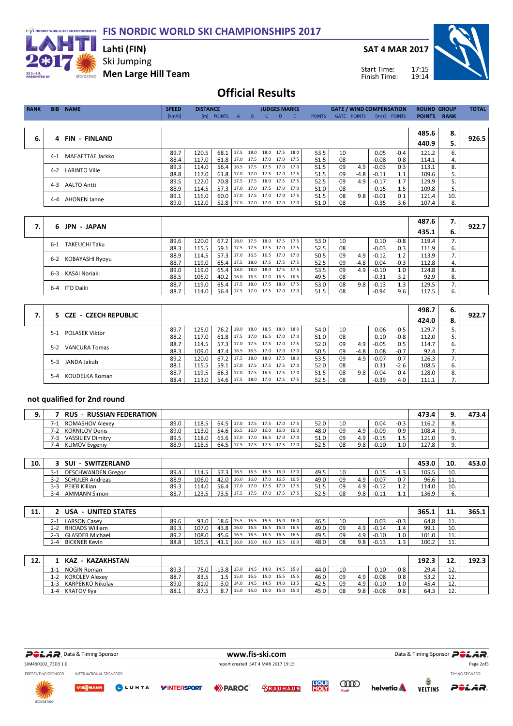FIS NORDIC WORLD SKI CHAMPIONSHIPS 2017



## Ski Jumping Lahti (FIN)

Men Large Hill Team

SAT 4 MAR 2017

Start Time: Finish Time:



## Official Results

| <b>RANK</b> | <b>NAME</b><br><b>BIB</b>     | <b>SPEED</b> | <b>DISTANCE</b> |                                 |   |                          | <b>JUDGES MARKS</b> |    |               |             | <b>GATE / WIND COMPENSATION</b> |         |                | <b>ROUND GROUP</b> |             | <b>TOTAL</b> |
|-------------|-------------------------------|--------------|-----------------|---------------------------------|---|--------------------------|---------------------|----|---------------|-------------|---------------------------------|---------|----------------|--------------------|-------------|--------------|
|             |                               | [km/h]       |                 | [m] POINTS                      | A | B.                       |                     | D. | <b>POINTS</b> | <b>GATE</b> | <b>POINTS</b>                   |         | $[m/s]$ POINTS | <b>POINTS</b>      | <b>RANK</b> |              |
|             |                               |              |                 |                                 |   |                          |                     |    |               |             |                                 |         |                |                    |             |              |
|             |                               |              |                 |                                 |   |                          |                     |    |               |             |                                 |         |                | 485.6              | 8.          |              |
| 6.          | 4 FIN - FINLAND               |              |                 |                                 |   |                          |                     |    |               |             |                                 |         |                | 440.9              | 5.          | 926.5        |
|             | MAEAETTAE Jarkko<br>$4 - 1$   | 89.7         | 120.5           | 68.1 17.5 18.0 18.0 17.5 18.0   |   |                          |                     |    | 53.5          | 10          |                                 | 0.05    | $-0.4$         | 121.2              | 6.          |              |
|             |                               | 88.4         | 117.0           | 61.8                            |   | 17.0 17.5 17.0 17.0 17.5 |                     |    | 51.5          | 08          |                                 | $-0.08$ | 0.8            | 114.1              | 4.          |              |
|             | <b>LARINTO Ville</b><br>$4-2$ | 89.3         | 114.0           | 56.4   16.5 17.5 17.5 17.0 17.0 |   |                          |                     |    | 51.5          | 09          | 4.9                             | $-0.03$ | 0.3            | 113.1              | 8.          |              |
|             |                               | 88.8         | 117.0           | 61.8                            |   | 17.0 17.0 17.5 17.0 17.5 |                     |    | 51.5          | 09          | -4.8                            | $-0.11$ | 1.1            | 109.6              | 5.          |              |
|             | <b>AALTO Antti</b><br>$4 - 3$ | 89.5         | 122.0           | 70.8   17.5 17.5 18.0 17.5 17.5 |   |                          |                     |    | 52.5          | 09          | 4.9                             | $-0.17$ | 1.7            | 129.9              |             |              |
|             |                               | 88.9         | 114.5           | 57.3                            |   | 17.0 17.0 17.5 17.0 17.0 |                     |    | 51.0          | 08          |                                 | $-0.15$ | 1.5            | 109.8              | 5.          |              |
|             |                               | 89.1         | 116.0           | 60.0                            |   | 17.0 17.5 17.0 17.0 17.5 |                     |    | 51.5          | 08          | 9.8                             | $-0.01$ | 0.1            | 121.4              | 10.         |              |
|             | <b>AHONEN Janne</b><br>4-4    | 89.0         | 112.0           | 52.8   17.0 17.0 17.0 17.0 17.0 |   |                          |                     |    | 51.0          | 08          |                                 | $-0.35$ | 3.6            | 107.4              | 8.          |              |
|             |                               |              |                 |                                 |   |                          |                     |    |               |             |                                 |         |                |                    |             |              |

|    |                               |      |       |      |           |                          |                |      |    |      |         |        | 487.6 | 7.   |       |
|----|-------------------------------|------|-------|------|-----------|--------------------------|----------------|------|----|------|---------|--------|-------|------|-------|
| 7. | 6 JPN - JAPAN                 |      |       |      |           |                          |                |      |    |      |         |        | 435.1 | - 6. | 922.7 |
|    | <b>TAKEUCHI Taku</b><br>$6-1$ | 89.6 | 120.0 | 67.2 | 18.0 17.5 |                          | 18.0 17.5 17.5 | 53.0 | 10 |      | 0.10    | $-0.8$ | 119.4 |      |       |
|    |                               | 88.3 | 115.5 | 59.1 |           | 17.5 17.5 17.5 17.0 17.5 |                | 52.5 | 08 |      | $-0.03$ | 0.3    | 111.9 | ь.   |       |
|    | KOBAYASHI Ryoyu               | 88.9 | 114.5 | 57.3 | 17.0 16.5 |                          | 16.5 17.0 17.0 | 50.5 | 09 | 4.9  | $-0.12$ | 1.2    | 113.9 |      |       |
|    | 6-2                           | 88.7 | 119.0 | 65.4 |           | 17.5 18.0 17.5 17.5 17.5 |                | 52.5 | 09 | -4.8 | 0.04    | $-0.3$ | 112.8 |      |       |
|    | KASAI Noriaki                 | 89.0 | 119.0 | 65.4 | 18.0 18.0 |                          | 18.0 17.5 17.5 | 53.5 | 09 | 4.9  | $-0.10$ | 1.0    | 124.8 |      |       |
|    | 6-3                           | 88.5 | 105.0 | 40.2 |           | 16.0 16.5 17.0 16.5 16.5 |                | 49.5 | 08 |      | $-0.31$ | 3.2    | 92.9  | 8.   |       |
|    | 6-4 ITO Daiki                 | 88.7 | 119.0 | 65.4 |           | 17.5 18.0 17.5           | 18.0 17.5      | 53.0 | 08 | 9.8  | $-0.13$ | 1.3    | 129.5 |      |       |
|    |                               | 88.7 | 114.0 | 56.4 |           | 17.5 17.0 17.5 17.0 17.0 |                | 51.5 | 08 |      | $-0.94$ | 9.6    | 117.5 | ь.   |       |

|    |                               |      |       |      |      |           |                |      |                |      |    |      |         |        | 498.7 | 6. |       |
|----|-------------------------------|------|-------|------|------|-----------|----------------|------|----------------|------|----|------|---------|--------|-------|----|-------|
| 7. | 5 CZE - CZECH REPUBLIC        |      |       |      |      |           |                |      |                |      |    |      |         |        | 424.0 | 8. | 922.7 |
|    | POLASEK Viktor<br>$5-1$       | 89.7 | 125.0 | 76.2 | 18.0 | 18.0      | 18.5           | 18.0 | 18.0           | 54.0 | 10 |      | 0.06    | $-0.5$ | 129.7 |    |       |
|    |                               | 88.2 | 117.0 | 61.8 | 17.5 | 17.0      | 16.5           |      | 17.0 17.0      | 51.0 | 08 |      | 0.10    | $-0.8$ | 112.0 |    |       |
|    | <b>VANCURA Tomas</b><br>$5-2$ | 88.7 | 114.5 | 57.3 | 17.0 | 17.5 17.5 |                |      | 17.0 17.5      | 52.0 | 09 | 4.9  | $-0.05$ | 0.5    | 114.7 |    |       |
|    |                               | 88.3 | 109.0 | 47.4 | 16.5 | 16.5      |                |      | 17.0 17.0 17.0 | 50.5 | 09 | -4.8 | 0.08    | $-0.7$ | 92.4  | 7. |       |
|    | JANDA Jakub<br>$5-3$          | 89.2 | 120.0 | 67.2 | 17.5 | 18.0      | 18.0           | 17.5 | 18.0           | 53.5 | 09 | 4.9  | $-0.07$ | 0.7    | 126.3 |    |       |
|    |                               | 88.1 | 115.5 | 59.1 | 17.0 | 17.5 17.5 |                |      | 17.5 17.0      | 52.0 | 08 |      | 0.31    | $-2.6$ | 108.5 | ь. |       |
|    | KOUDELKA Roman<br>$5 - 4$     | 88.7 | 119.5 | 66.3 | 17.0 | 17.5      | 16.5           | 17.5 | 17.0           | 51.5 | 08 | 9.8  | $-0.04$ | 0.4    | 128.0 | 8. |       |
|    |                               | 88.4 | 113.0 | 54.6 | 17.5 | 18.0      | 17.0 17.5 17.5 |      |                | 52.5 | 08 |      | $-0.39$ | 4.0    | 111.1 |    |       |

#### not qualified for 2nd round

| <b>RUS - RUSSIAN FEDERATION</b> |      |       |      |      |      |           |      |                   |      |    |     |         |        | 473.4 |          | 473.4 |
|---------------------------------|------|-------|------|------|------|-----------|------|-------------------|------|----|-----|---------|--------|-------|----------|-------|
| <b>ROMASHOV Alexev</b>          | 89.0 | 118.5 | 64.5 | 17.0 | 17.5 | 17.5 17.0 |      | 17.5              | 52.0 | 10 |     | 0.04    | $-0.3$ | 116.2 | o.       |       |
| <b>KORNILOV Denis</b>           | 89.0 | 113.0 | 54.6 | 16.5 | 16.0 | 16.0      | 16.0 | 16.0              | 48.0 | 09 | 4.9 | $-0.09$ | 0.9    | 108.4 | <u>.</u> |       |
| <b>VASSILIEV Dimitry</b><br>٬-5 | 89.5 | 118.0 | 63.6 | 17.0 | 17.0 | 16.5      | 17.0 | 17.0 <sub>1</sub> | 51.0 | 09 | 4.9 | $-0.15$ |        | 121.0 |          |       |
| <b>KLIMOV Evgeniy</b>           | 88.9 | 118.5 | 64.5 | 17.5 | 17.5 | 17.5      | 17.5 | 17.0              | 52.5 | 08 | 9.8 | -0.10   | ـا . ـ | 127.8 |          |       |
|                                 |      |       |      |      |      |           |      |                   |      |    |     |         |        |       |          |       |

| 10. | <b>SUI</b><br><b>SWITZERLAND</b>  |      |                            |             |      |           |      |      |      |          |    |     |         |         | 453.0 | 10            | 453.0 |
|-----|-----------------------------------|------|----------------------------|-------------|------|-----------|------|------|------|----------|----|-----|---------|---------|-------|---------------|-------|
|     | <b>DESCHWANDEN Gregor</b><br>≺- ! | 89.4 | 114.5                      | 57.3 I      | 16.5 | 16.5      | 16.5 | 16.0 | 17.0 | 49.5     | 10 |     | 0.15    | ر…      | 105.5 | 10.           |       |
|     | <b>SCHULER Andreas</b><br>3-2     | 88.9 | 106.0                      | 42.0 16.0   |      | 16.0      | 17.0 | 16.5 | 16.5 | 49.0     | 09 | 4.9 | $-0.07$ |         | 96.6  | 11<br><b></b> |       |
|     | PEIER Killian<br>$3-3$            | 89.3 | 114.0                      | 56.4        | 17.0 | 17.0 17.5 |      | 17.0 | 17.5 | 515<br>. | 09 | 4.9 | $-0.12$ | <b></b> | 114.0 | 10.           |       |
|     | <b>AMMANN Simon</b><br>$3-4$      | 88.7 | 122 <sub>h</sub><br>ں کے ل | <b>7351</b> | 17.5 |           | 17.0 |      | 17.5 | 52.5     | 08 | 9.8 | $-0.11$ |         | 136.9 | υ.            |       |

| 11. | USA<br>- UNITED STATES           |      |       |      |                |           |                |      |      |      |    |     |         |        | 365.1 | 11<br>∸∸ | 365.1 |
|-----|----------------------------------|------|-------|------|----------------|-----------|----------------|------|------|------|----|-----|---------|--------|-------|----------|-------|
|     | <b>LARSON Casev</b><br>2-1       | 89.6 | 93.0  | 18.6 | 15.5 15.5 15.5 |           |                | 15.0 | 16.0 | 46.5 | 10 |     | 0.03    | $-0.3$ | 64.8  | <b></b>  |       |
|     | <b>RHOADS William</b><br>$2 - 2$ | 89.3 | 107.0 | 43.8 | 16.0           | 16.5 16.5 |                | 16.0 | 16.5 | 49.0 | 09 | 4.9 | $-0.14$ | 4.4    | 99.1  | 10.      |       |
|     | <b>GLASDER Michael</b><br>2-3    | 89.2 | 108.0 | 45.6 | 16.5           |           | 16.5 16.5 16.5 |      | 16.5 | 49.5 | 09 | 4.9 | $-0.10$ | 1.0    | 101.0 | <b></b>  |       |
|     | <b>BICKNER Kevin</b><br>$2 - 4$  | 88.8 | 105.5 | 41.1 | 16.0           | 16.0      | 16.0           | 16.5 | 16.0 | 48.0 | 08 | 9.8 | $-0.13$ | ີ      | 100.2 | 11.      |       |

| <b></b> | - KAZAKHSTAN<br><b>KAZ</b>       |      |      |              |      |      |                |      |      |      |    |     |         |            | 192.3 | 12<br>∸∸   | 192.3 |
|---------|----------------------------------|------|------|--------------|------|------|----------------|------|------|------|----|-----|---------|------------|-------|------------|-------|
|         | <b>NOGIN Roman</b>               | 89.3 | 75.0 | $-13.8$ 15.0 |      |      | 14.5 14.0 14.5 |      | 15.0 | 44.0 | 10 |     | 0.10    | -0.8       | 29.4  | <b></b>    |       |
|         | <b>KOROLEV Alexev</b><br>1-2     | 88.7 | 83.5 | к.           | 15.0 | 15.5 | 15.0 15.5      |      | 15.5 | 46.0 | 09 | 4.9 | $-0.08$ | 0.8        | 53.2  | <b></b>    |       |
|         | <b>KARPENKO Nikolav</b><br>l - 3 | 89.0 | 81.0 | -3.0         | 14.0 | 14.5 | 14.5           | 14.0 | 13.5 | 42.5 | 09 | 4.9 | $-0.10$ | <b>L.V</b> | 45.4  | <b></b>    |       |
|         | <b>KRATOV Ilva</b><br>-4         | 88.1 | 87.5 | 8.7          | 15.0 | 15.0 | 15.0           | 15.0 | 15.0 | 45.0 | 08 | 9.8 | $-0.08$ | 0.8        | 64.3  | <b>IL.</b> |       |

| $PGLAR$ , Data & Timing Sponsor | www.fis-ski.com                     |
|---------------------------------|-------------------------------------|
| SJM490102 73D3 1.0              | report created SAT 4 MAR 2017 19:15 |

**VIESMANN** 

 $0.5$ 

**YINTERSPORT** 

**EXPARCC** 

WWW.fis-ski.com Data & Timing Sponsor POLAR.

PRESENTING SPONSOR INTERNATIONAL SPONSORS







**TIMING SPONSOR** 

Page 2of3